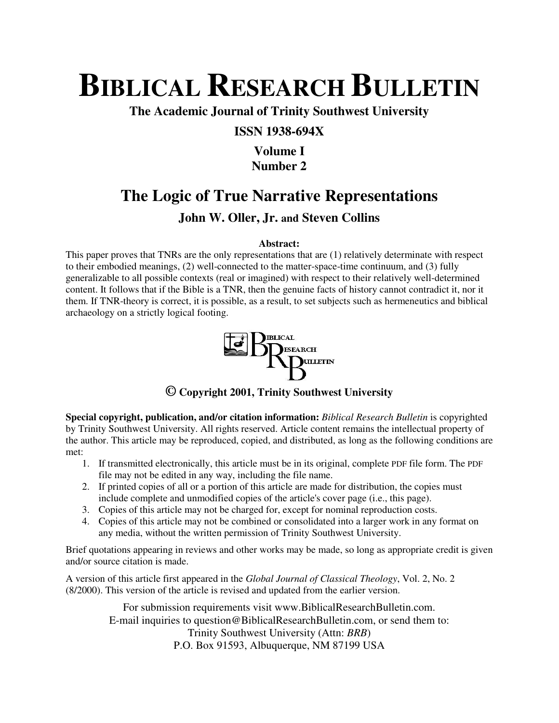# **BIBLICAL RESEARCH BULLETIN**

**The Academic Journal of Trinity Southwest University** 

## **ISSN 1938-694X**

# **Volume I Number 2**

# **The Logic of True Narrative Representations**

# **John W. Oller, Jr. and Steven Collins**

#### **Abstract:**

This paper proves that TNRs are the only representations that are (1) relatively determinate with respect to their embodied meanings, (2) well-connected to the matter-space-time continuum, and (3) fully generalizable to all possible contexts (real or imagined) with respect to their relatively well-determined content. It follows that if the Bible is a TNR, then the genuine facts of history cannot contradict it, nor it them. If TNR-theory is correct, it is possible, as a result, to set subjects such as hermeneutics and biblical archaeology on a strictly logical footing.



## **© Copyright 2001, Trinity Southwest University**

**Special copyright, publication, and/or citation information:** *Biblical Research Bulletin* is copyrighted by Trinity Southwest University. All rights reserved. Article content remains the intellectual property of the author. This article may be reproduced, copied, and distributed, as long as the following conditions are met:

- 1. If transmitted electronically, this article must be in its original, complete PDF file form. The PDF file may not be edited in any way, including the file name.
- 2. If printed copies of all or a portion of this article are made for distribution, the copies must include complete and unmodified copies of the article's cover page (i.e., this page).
- 3. Copies of this article may not be charged for, except for nominal reproduction costs.
- 4. Copies of this article may not be combined or consolidated into a larger work in any format on any media, without the written permission of Trinity Southwest University.

Brief quotations appearing in reviews and other works may be made, so long as appropriate credit is given and/or source citation is made.

A version of this article first appeared in the *Global Journal of Classical Theology*, Vol. 2, No. 2 (8/2000). This version of the article is revised and updated from the earlier version.

> For submission requirements visit www.BiblicalResearchBulletin.com. E-mail inquiries to question@BiblicalResearchBulletin.com, or send them to: Trinity Southwest University (Attn: *BRB*) P.O. Box 91593, Albuquerque, NM 87199 USA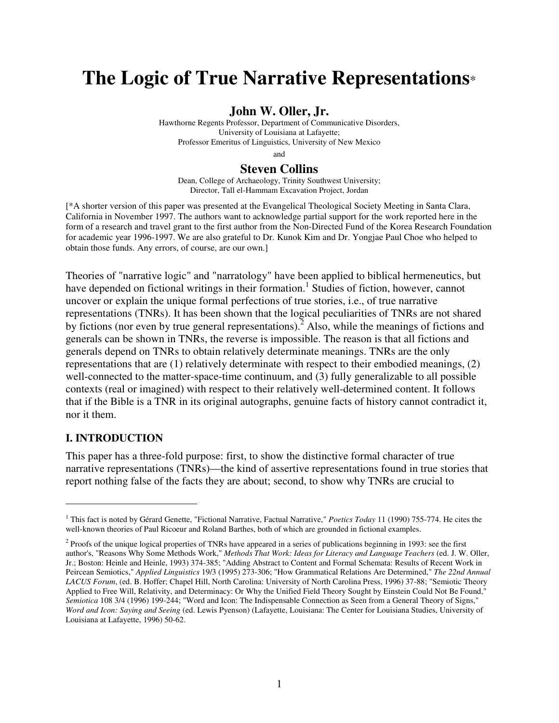# **The Logic of True Narrative Representations**\*

#### **John W. Oller, Jr.**

Hawthorne Regents Professor, Department of Communicative Disorders, University of Louisiana at Lafayette; Professor Emeritus of Linguistics, University of New Mexico

and

#### **Steven Collins**

Dean, College of Archaeology, Trinity Southwest University; Director, Tall el-Hammam Excavation Project, Jordan

[\*A shorter version of this paper was presented at the Evangelical Theological Society Meeting in Santa Clara, California in November 1997. The authors want to acknowledge partial support for the work reported here in the form of a research and travel grant to the first author from the Non-Directed Fund of the Korea Research Foundation for academic year 1996-1997. We are also grateful to Dr. Kunok Kim and Dr. Yongjae Paul Choe who helped to obtain those funds. Any errors, of course, are our own.]

Theories of "narrative logic" and "narratology" have been applied to biblical hermeneutics, but have depended on fictional writings in their formation.<sup>1</sup> Studies of fiction, however, cannot uncover or explain the unique formal perfections of true stories, i.e., of true narrative representations (TNRs). It has been shown that the logical peculiarities of TNRs are not shared by fictions (nor even by true general representations).<sup>2</sup> Also, while the meanings of fictions and generals can be shown in TNRs, the reverse is impossible. The reason is that all fictions and generals depend on TNRs to obtain relatively determinate meanings. TNRs are the only representations that are (1) relatively determinate with respect to their embodied meanings, (2) well-connected to the matter-space-time continuum, and (3) fully generalizable to all possible contexts (real or imagined) with respect to their relatively well-determined content. It follows that if the Bible is a TNR in its original autographs, genuine facts of history cannot contradict it, nor it them.

#### **I. INTRODUCTION**

 $\overline{a}$ 

This paper has a three-fold purpose: first, to show the distinctive formal character of true narrative representations (TNRs)—the kind of assertive representations found in true stories that report nothing false of the facts they are about; second, to show why TNRs are crucial to

<sup>&</sup>lt;sup>1</sup> This fact is noted by Gérard Genette, "Fictional Narrative, Factual Narrative," *Poetics Today* 11 (1990) 755-774. He cites the well-known theories of Paul Ricoeur and Roland Barthes, both of which are grounded in fictional examples.

<sup>&</sup>lt;sup>2</sup> Proofs of the unique logical properties of TNRs have appeared in a series of publications beginning in 1993: see the first author's, "Reasons Why Some Methods Work," *Methods That Work: Ideas for Literacy and Language Teachers* (ed. J. W. Oller, Jr.; Boston: Heinle and Heinle, 1993) 374-385; "Adding Abstract to Content and Formal Schemata: Results of Recent Work in Peircean Semiotics," *Applied Linguistics* 19/3 (1995) 273-306; "How Grammatical Relations Are Determined," *The 22nd Annual LACUS Forum*, (ed. B. Hoffer; Chapel Hill, North Carolina: University of North Carolina Press, 1996) 37-88; "Semiotic Theory Applied to Free Will, Relativity, and Determinacy: Or Why the Unified Field Theory Sought by Einstein Could Not Be Found," *Semiotica* 108 3/4 (1996) 199-244; "Word and Icon: The Indispensable Connection as Seen from a General Theory of Signs," *Word and Icon: Saying and Seeing* (ed. Lewis Pyenson) (Lafayette, Louisiana: The Center for Louisiana Studies, University of Louisiana at Lafayette, 1996) 50-62.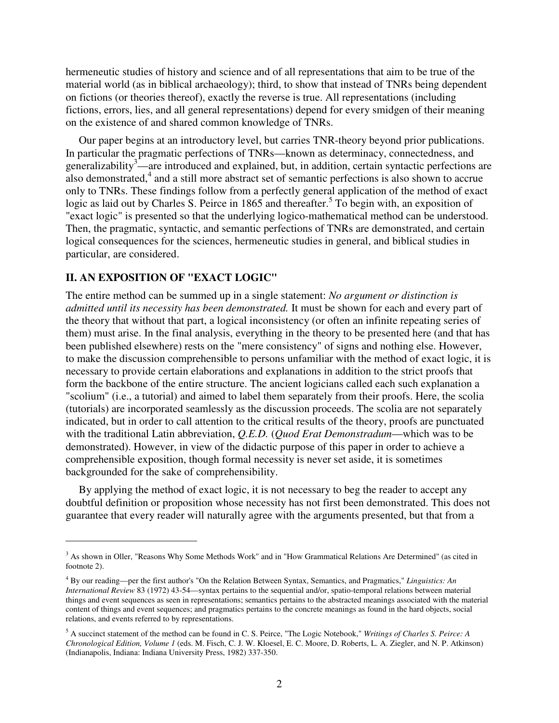hermeneutic studies of history and science and of all representations that aim to be true of the material world (as in biblical archaeology); third, to show that instead of TNRs being dependent on fictions (or theories thereof), exactly the reverse is true. All representations (including fictions, errors, lies, and all general representations) depend for every smidgen of their meaning on the existence of and shared common knowledge of TNRs.

Our paper begins at an introductory level, but carries TNR-theory beyond prior publications. In particular the pragmatic perfections of TNRs—known as determinacy, connectedness, and generalizability<sup>3</sup>—are introduced and explained, but, in addition, certain syntactic perfections are also demonstrated,<sup>4</sup> and a still more abstract set of semantic perfections is also shown to accrue only to TNRs. These findings follow from a perfectly general application of the method of exact logic as laid out by Charles S. Peirce in 1865 and thereafter.<sup>5</sup> To begin with, an exposition of "exact logic" is presented so that the underlying logico-mathematical method can be understood. Then, the pragmatic, syntactic, and semantic perfections of TNRs are demonstrated, and certain logical consequences for the sciences, hermeneutic studies in general, and biblical studies in particular, are considered.

#### **II. AN EXPOSITION OF "EXACT LOGIC"**

 $\overline{a}$ 

The entire method can be summed up in a single statement: *No argument or distinction is admitted until its necessity has been demonstrated.* It must be shown for each and every part of the theory that without that part, a logical inconsistency (or often an infinite repeating series of them) must arise. In the final analysis, everything in the theory to be presented here (and that has been published elsewhere) rests on the "mere consistency" of signs and nothing else. However, to make the discussion comprehensible to persons unfamiliar with the method of exact logic, it is necessary to provide certain elaborations and explanations in addition to the strict proofs that form the backbone of the entire structure. The ancient logicians called each such explanation a "scolium" (i.e., a tutorial) and aimed to label them separately from their proofs. Here, the scolia (tutorials) are incorporated seamlessly as the discussion proceeds. The scolia are not separately indicated, but in order to call attention to the critical results of the theory, proofs are punctuated with the traditional Latin abbreviation, *Q.E.D.* (*Quod Erat Demonstradum*—which was to be demonstrated). However, in view of the didactic purpose of this paper in order to achieve a comprehensible exposition, though formal necessity is never set aside, it is sometimes backgrounded for the sake of comprehensibility.

By applying the method of exact logic, it is not necessary to beg the reader to accept any doubtful definition or proposition whose necessity has not first been demonstrated. This does not guarantee that every reader will naturally agree with the arguments presented, but that from a

<sup>&</sup>lt;sup>3</sup> As shown in Oller, "Reasons Why Some Methods Work" and in "How Grammatical Relations Are Determined" (as cited in footnote 2).

<sup>4</sup> By our reading—per the first author's "On the Relation Between Syntax, Semantics, and Pragmatics," *Linguistics: An International Review* 83 (1972) 43-54—syntax pertains to the sequential and/or, spatio-temporal relations between material things and event sequences as seen in representations; semantics pertains to the abstracted meanings associated with the material content of things and event sequences; and pragmatics pertains to the concrete meanings as found in the hard objects, social relations, and events referred to by representations.

<sup>5</sup> A succinct statement of the method can be found in C. S. Peirce, "The Logic Notebook," *Writings of Charles S. Peirce: A Chronological Edition, Volume 1* (eds. M. Fisch, C. J. W. Kloesel, E. C. Moore, D. Roberts, L. A. Ziegler, and N. P. Atkinson) (Indianapolis, Indiana: Indiana University Press, 1982) 337-350.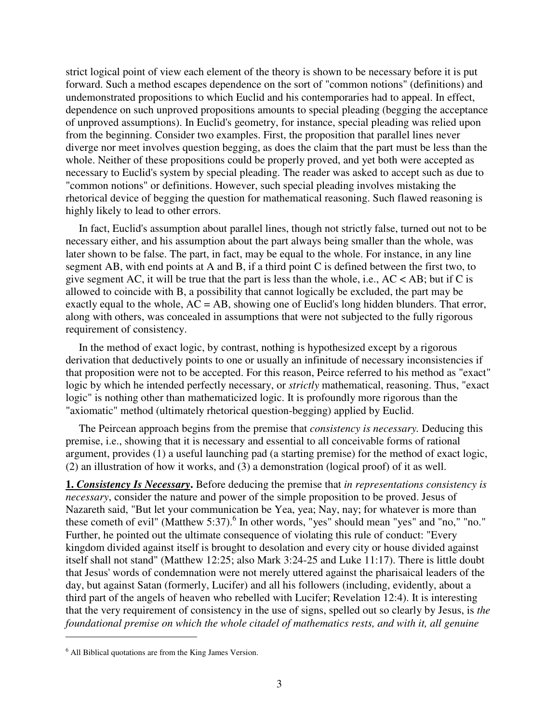strict logical point of view each element of the theory is shown to be necessary before it is put forward. Such a method escapes dependence on the sort of "common notions" (definitions) and undemonstrated propositions to which Euclid and his contemporaries had to appeal. In effect, dependence on such unproved propositions amounts to special pleading (begging the acceptance of unproved assumptions). In Euclid's geometry, for instance, special pleading was relied upon from the beginning. Consider two examples. First, the proposition that parallel lines never diverge nor meet involves question begging, as does the claim that the part must be less than the whole. Neither of these propositions could be properly proved, and yet both were accepted as necessary to Euclid's system by special pleading. The reader was asked to accept such as due to "common notions" or definitions. However, such special pleading involves mistaking the rhetorical device of begging the question for mathematical reasoning. Such flawed reasoning is highly likely to lead to other errors.

In fact, Euclid's assumption about parallel lines, though not strictly false, turned out not to be necessary either, and his assumption about the part always being smaller than the whole, was later shown to be false. The part, in fact, may be equal to the whole. For instance, in any line segment AB, with end points at A and B, if a third point C is defined between the first two, to give segment AC, it will be true that the part is less than the whole, i.e.,  $AC < AB$ ; but if C is allowed to coincide with B, a possibility that cannot logically be excluded, the part may be exactly equal to the whole,  $AC = AB$ , showing one of Euclid's long hidden blunders. That error, along with others, was concealed in assumptions that were not subjected to the fully rigorous requirement of consistency.

In the method of exact logic, by contrast, nothing is hypothesized except by a rigorous derivation that deductively points to one or usually an infinitude of necessary inconsistencies if that proposition were not to be accepted. For this reason, Peirce referred to his method as "exact" logic by which he intended perfectly necessary, or *strictly* mathematical, reasoning. Thus, "exact logic" is nothing other than mathematicized logic. It is profoundly more rigorous than the "axiomatic" method (ultimately rhetorical question-begging) applied by Euclid.

The Peircean approach begins from the premise that *consistency is necessary.* Deducing this premise, i.e., showing that it is necessary and essential to all conceivable forms of rational argument, provides (1) a useful launching pad (a starting premise) for the method of exact logic, (2) an illustration of how it works, and (3) a demonstration (logical proof) of it as well.

**1.** *Consistency Is Necessary***.** Before deducing the premise that *in representations consistency is necessary*, consider the nature and power of the simple proposition to be proved. Jesus of Nazareth said, "But let your communication be Yea, yea; Nay, nay; for whatever is more than these cometh of evil" (Matthew 5:37).<sup>6</sup> In other words, "yes" should mean "yes" and "no," "no." Further, he pointed out the ultimate consequence of violating this rule of conduct: "Every kingdom divided against itself is brought to desolation and every city or house divided against itself shall not stand" (Matthew 12:25; also Mark 3:24-25 and Luke 11:17). There is little doubt that Jesus' words of condemnation were not merely uttered against the pharisaical leaders of the day, but against Satan (formerly, Lucifer) and all his followers (including, evidently, about a third part of the angels of heaven who rebelled with Lucifer; Revelation 12:4). It is interesting that the very requirement of consistency in the use of signs, spelled out so clearly by Jesus, is *the foundational premise on which the whole citadel of mathematics rests, and with it, all genuine* 

<sup>6</sup> All Biblical quotations are from the King James Version.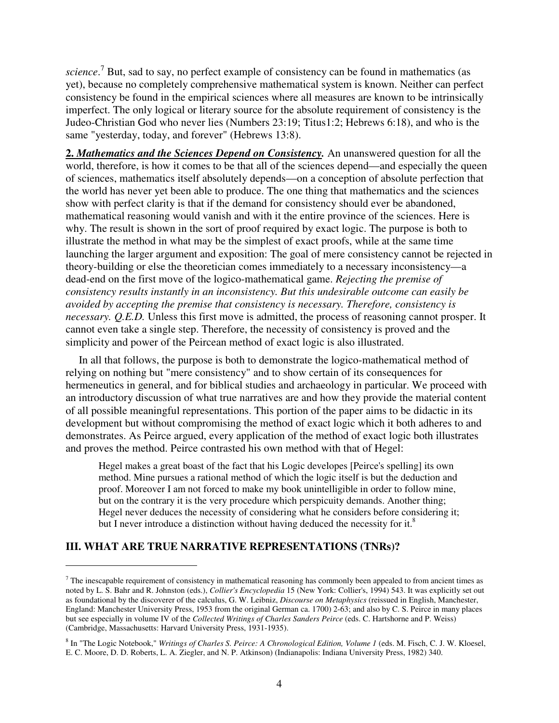science.<sup>7</sup> But, sad to say, no perfect example of consistency can be found in mathematics (as yet), because no completely comprehensive mathematical system is known. Neither can perfect consistency be found in the empirical sciences where all measures are known to be intrinsically imperfect. The only logical or literary source for the absolute requirement of consistency is the Judeo-Christian God who never lies (Numbers 23:19; Titus1:2; Hebrews 6:18), and who is the same "yesterday, today, and forever" (Hebrews 13:8).

**2.** *Mathematics and the Sciences Depend on Consistency.* An unanswered question for all the world, therefore, is how it comes to be that all of the sciences depend—and especially the queen of sciences, mathematics itself absolutely depends—on a conception of absolute perfection that the world has never yet been able to produce. The one thing that mathematics and the sciences show with perfect clarity is that if the demand for consistency should ever be abandoned, mathematical reasoning would vanish and with it the entire province of the sciences. Here is why. The result is shown in the sort of proof required by exact logic. The purpose is both to illustrate the method in what may be the simplest of exact proofs, while at the same time launching the larger argument and exposition: The goal of mere consistency cannot be rejected in theory-building or else the theoretician comes immediately to a necessary inconsistency—a dead-end on the first move of the logico-mathematical game. *Rejecting the premise of consistency results instantly in an inconsistency. But this undesirable outcome can easily be avoided by accepting the premise that consistency is necessary. Therefore, consistency is necessary. Q.E.D.* Unless this first move is admitted, the process of reasoning cannot prosper. It cannot even take a single step. Therefore, the necessity of consistency is proved and the simplicity and power of the Peircean method of exact logic is also illustrated.

In all that follows, the purpose is both to demonstrate the logico-mathematical method of relying on nothing but "mere consistency" and to show certain of its consequences for hermeneutics in general, and for biblical studies and archaeology in particular. We proceed with an introductory discussion of what true narratives are and how they provide the material content of all possible meaningful representations. This portion of the paper aims to be didactic in its development but without compromising the method of exact logic which it both adheres to and demonstrates. As Peirce argued, every application of the method of exact logic both illustrates and proves the method. Peirce contrasted his own method with that of Hegel:

Hegel makes a great boast of the fact that his Logic developes [Peirce's spelling] its own method. Mine pursues a rational method of which the logic itself is but the deduction and proof. Moreover I am not forced to make my book unintelligible in order to follow mine, but on the contrary it is the very procedure which perspicuity demands. Another thing; Hegel never deduces the necessity of considering what he considers before considering it; but I never introduce a distinction without having deduced the necessity for it.<sup>8</sup>

#### **III. WHAT ARE TRUE NARRATIVE REPRESENTATIONS (TNRs)?**

 $<sup>7</sup>$  The inescapable requirement of consistency in mathematical reasoning has commonly been appealed to from ancient times as</sup> noted by L. S. Bahr and R. Johnston (eds.), *Collier's Encyclopedia* 15 (New York: Collier's, 1994) 543. It was explicitly set out as foundational by the discoverer of the calculus, G. W. Leibniz, *Discourse on Metaphysics* (reissued in English, Manchester, England: Manchester University Press, 1953 from the original German ca. 1700) 2-63; and also by C. S. Peirce in many places but see especially in volume IV of the *Collected Writings of Charles Sanders Peirce* (eds. C. Hartshorne and P. Weiss) (Cambridge, Massachusetts: Harvard University Press, 1931-1935).

<sup>8</sup> In "The Logic Notebook," *Writings of Charles S. Peirce: A Chronological Edition, Volume 1* (eds. M. Fisch, C. J. W. Kloesel, E. C. Moore, D. D. Roberts, L. A. Ziegler, and N. P. Atkinson) (Indianapolis: Indiana University Press, 1982) 340.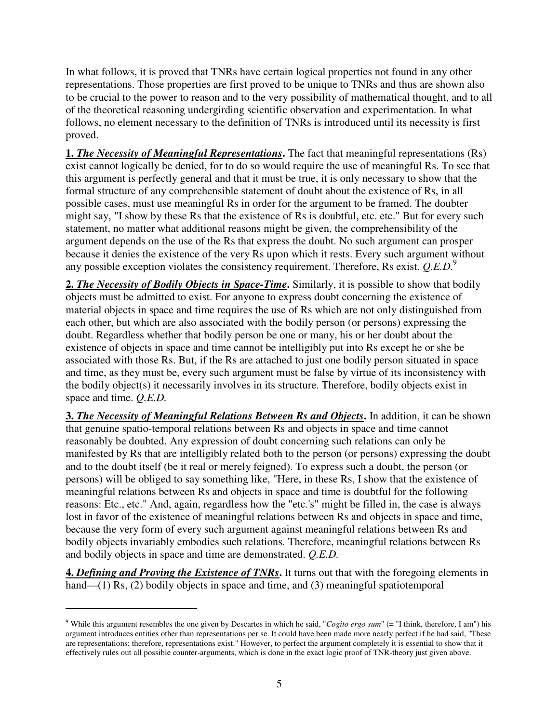In what follows, it is proved that TNRs have certain logical properties not found in any other representations. Those properties are first proved to be unique to TNRs and thus are shown also to be crucial to the power to reason and to the very possibility of mathematical thought, and to all of the theoretical reasoning undergirding scientific observation and experimentation. In what follows, no element necessary to the definition of TNRs is introduced until its necessity is first proved.

**1.** *The Necessity of Meaningful Representations***.** The fact that meaningful representations (Rs) exist cannot logically be denied, for to do so would require the use of meaningful Rs. To see that this argument is perfectly general and that it must be true, it is only necessary to show that the formal structure of any comprehensible statement of doubt about the existence of Rs, in all possible cases, must use meaningful Rs in order for the argument to be framed. The doubter might say, "I show by these Rs that the existence of Rs is doubtful, etc. etc." But for every such statement, no matter what additional reasons might be given, the comprehensibility of the argument depends on the use of the Rs that express the doubt. No such argument can prosper because it denies the existence of the very Rs upon which it rests. Every such argument without any possible exception violates the consistency requirement. Therefore, Rs exist. *Q.E.D.*<sup>9</sup>

**2.** *The Necessity of Bodily Objects in Space-Time***.** Similarly, it is possible to show that bodily objects must be admitted to exist. For anyone to express doubt concerning the existence of material objects in space and time requires the use of Rs which are not only distinguished from each other, but which are also associated with the bodily person (or persons) expressing the doubt. Regardless whether that bodily person be one or many, his or her doubt about the existence of objects in space and time cannot be intelligibly put into Rs except he or she be associated with those Rs. But, if the Rs are attached to just one bodily person situated in space and time, as they must be, every such argument must be false by virtue of its inconsistency with the bodily object(s) it necessarily involves in its structure. Therefore, bodily objects exist in space and time. *Q.E.D.* 

**3.** *The Necessity of Meaningful Relations Between Rs and Objects***.** In addition, it can be shown that genuine spatio-temporal relations between Rs and objects in space and time cannot reasonably be doubted. Any expression of doubt concerning such relations can only be manifested by Rs that are intelligibly related both to the person (or persons) expressing the doubt and to the doubt itself (be it real or merely feigned). To express such a doubt, the person (or persons) will be obliged to say something like, "Here, in these Rs, I show that the existence of meaningful relations between Rs and objects in space and time is doubtful for the following reasons: Etc., etc." And, again, regardless how the "etc.'s" might be filled in, the case is always lost in favor of the existence of meaningful relations between Rs and objects in space and time, because the very form of every such argument against meaningful relations between Rs and bodily objects invariably embodies such relations. Therefore, meaningful relations between Rs and bodily objects in space and time are demonstrated. *Q.E.D.* 

**4.** *Defining and Proving the Existence of TNRs***.** It turns out that with the foregoing elements in hand—(1) Rs, (2) bodily objects in space and time, and (3) meaningful spatiotemporal

<sup>9</sup> While this argument resembles the one given by Descartes in which he said, "*Cogito ergo sum*" (= "I think, therefore, I am") his argument introduces entities other than representations per se. It could have been made more nearly perfect if he had said, "These are representations; therefore, representations exist." However, to perfect the argument completely it is essential to show that it effectively rules out all possible counter-arguments, which is done in the exact logic proof of TNR-theory just given above.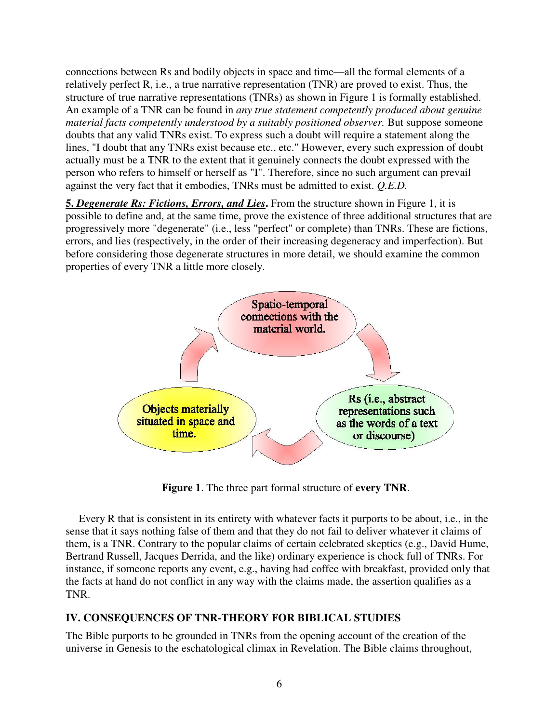connections between Rs and bodily objects in space and time—all the formal elements of a relatively perfect R, i.e., a true narrative representation (TNR) are proved to exist. Thus, the structure of true narrative representations (TNRs) as shown in Figure 1 is formally established. An example of a TNR can be found in *any true statement competently produced about genuine material facts competently understood by a suitably positioned observer.* But suppose someone doubts that any valid TNRs exist. To express such a doubt will require a statement along the lines, "I doubt that any TNRs exist because etc., etc." However, every such expression of doubt actually must be a TNR to the extent that it genuinely connects the doubt expressed with the person who refers to himself or herself as "I". Therefore, since no such argument can prevail against the very fact that it embodies, TNRs must be admitted to exist. *Q.E.D.* 

**5.** *Degenerate Rs: Fictions, Errors, and Lies***.** From the structure shown in Figure 1, it is possible to define and, at the same time, prove the existence of three additional structures that are progressively more "degenerate" (i.e., less "perfect" or complete) than TNRs. These are fictions, errors, and lies (respectively, in the order of their increasing degeneracy and imperfection). But before considering those degenerate structures in more detail, we should examine the common properties of every TNR a little more closely.



**Figure 1**. The three part formal structure of **every TNR**.

Every R that is consistent in its entirety with whatever facts it purports to be about, i.e., in the sense that it says nothing false of them and that they do not fail to deliver whatever it claims of them, is a TNR. Contrary to the popular claims of certain celebrated skeptics (e.g., David Hume, Bertrand Russell, Jacques Derrida, and the like) ordinary experience is chock full of TNRs. For instance, if someone reports any event, e.g., having had coffee with breakfast, provided only that the facts at hand do not conflict in any way with the claims made, the assertion qualifies as a TNR.

# **IV. CONSEQUENCES OF TNR-THEORY FOR BIBLICAL STUDIES**

The Bible purports to be grounded in TNRs from the opening account of the creation of the universe in Genesis to the eschatological climax in Revelation. The Bible claims throughout,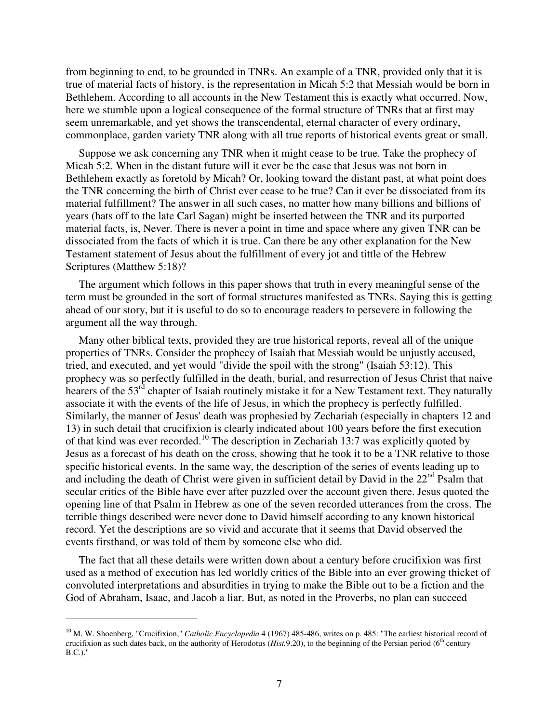from beginning to end, to be grounded in TNRs. An example of a TNR, provided only that it is true of material facts of history, is the representation in Micah 5:2 that Messiah would be born in Bethlehem. According to all accounts in the New Testament this is exactly what occurred. Now, here we stumble upon a logical consequence of the formal structure of TNRs that at first may seem unremarkable, and yet shows the transcendental, eternal character of every ordinary, commonplace, garden variety TNR along with all true reports of historical events great or small.

Suppose we ask concerning any TNR when it might cease to be true. Take the prophecy of Micah 5:2. When in the distant future will it ever be the case that Jesus was not born in Bethlehem exactly as foretold by Micah? Or, looking toward the distant past, at what point does the TNR concerning the birth of Christ ever cease to be true? Can it ever be dissociated from its material fulfillment? The answer in all such cases, no matter how many billions and billions of years (hats off to the late Carl Sagan) might be inserted between the TNR and its purported material facts, is, Never. There is never a point in time and space where any given TNR can be dissociated from the facts of which it is true. Can there be any other explanation for the New Testament statement of Jesus about the fulfillment of every jot and tittle of the Hebrew Scriptures (Matthew 5:18)?

The argument which follows in this paper shows that truth in every meaningful sense of the term must be grounded in the sort of formal structures manifested as TNRs. Saying this is getting ahead of our story, but it is useful to do so to encourage readers to persevere in following the argument all the way through.

Many other biblical texts, provided they are true historical reports, reveal all of the unique properties of TNRs. Consider the prophecy of Isaiah that Messiah would be unjustly accused, tried, and executed, and yet would "divide the spoil with the strong" (Isaiah 53:12). This prophecy was so perfectly fulfilled in the death, burial, and resurrection of Jesus Christ that naive hearers of the 53<sup>rd</sup> chapter of Isaiah routinely mistake it for a New Testament text. They naturally associate it with the events of the life of Jesus, in which the prophecy is perfectly fulfilled. Similarly, the manner of Jesus' death was prophesied by Zechariah (especially in chapters 12 and 13) in such detail that crucifixion is clearly indicated about 100 years before the first execution of that kind was ever recorded.<sup>10</sup> The description in Zechariah 13:7 was explicitly quoted by Jesus as a forecast of his death on the cross, showing that he took it to be a TNR relative to those specific historical events. In the same way, the description of the series of events leading up to and including the death of Christ were given in sufficient detail by David in the 22<sup>nd</sup> Psalm that secular critics of the Bible have ever after puzzled over the account given there. Jesus quoted the opening line of that Psalm in Hebrew as one of the seven recorded utterances from the cross. The terrible things described were never done to David himself according to any known historical record. Yet the descriptions are so vivid and accurate that it seems that David observed the events firsthand, or was told of them by someone else who did.

The fact that all these details were written down about a century before crucifixion was first used as a method of execution has led worldly critics of the Bible into an ever growing thicket of convoluted interpretations and absurdities in trying to make the Bible out to be a fiction and the God of Abraham, Isaac, and Jacob a liar. But, as noted in the Proverbs, no plan can succeed

<sup>&</sup>lt;sup>10</sup> M. W. Shoenberg, "Crucifixion," *Catholic Encyclopedia* 4 (1967) 485-486, writes on p. 485: "The earliest historical record of crucifixion as such dates back, on the authority of Herodotus (*Hist.*9.20), to the beginning of the Persian period (6<sup>th</sup> century B.C.)."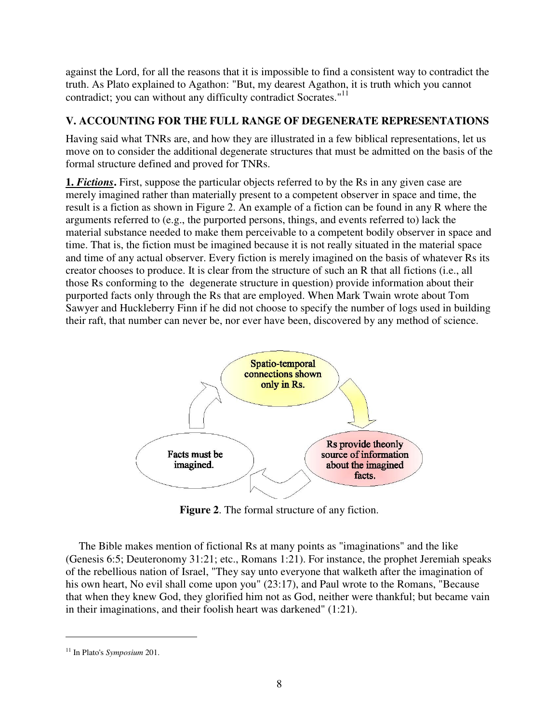against the Lord, for all the reasons that it is impossible to find a consistent way to contradict the truth. As Plato explained to Agathon: "But, my dearest Agathon, it is truth which you cannot contradict; you can without any difficulty contradict Socrates."<sup>11</sup>

### **V. ACCOUNTING FOR THE FULL RANGE OF DEGENERATE REPRESENTATIONS**

Having said what TNRs are, and how they are illustrated in a few biblical representations, let us move on to consider the additional degenerate structures that must be admitted on the basis of the formal structure defined and proved for TNRs.

**1.** *Fictions*. First, suppose the particular objects referred to by the Rs in any given case are merely imagined rather than materially present to a competent observer in space and time, the result is a fiction as shown in Figure 2. An example of a fiction can be found in any R where the arguments referred to (e.g., the purported persons, things, and events referred to) lack the material substance needed to make them perceivable to a competent bodily observer in space and time. That is, the fiction must be imagined because it is not really situated in the material space and time of any actual observer. Every fiction is merely imagined on the basis of whatever Rs its creator chooses to produce. It is clear from the structure of such an R that all fictions (i.e., all those Rs conforming to the degenerate structure in question) provide information about their purported facts only through the Rs that are employed. When Mark Twain wrote about Tom Sawyer and Huckleberry Finn if he did not choose to specify the number of logs used in building their raft, that number can never be, nor ever have been, discovered by any method of science.



**Figure 2**. The formal structure of any fiction.

The Bible makes mention of fictional Rs at many points as "imaginations" and the like (Genesis 6:5; Deuteronomy 31:21; etc., Romans 1:21). For instance, the prophet Jeremiah speaks of the rebellious nation of Israel, "They say unto everyone that walketh after the imagination of his own heart, No evil shall come upon you" (23:17), and Paul wrote to the Romans, "Because that when they knew God, they glorified him not as God, neither were thankful; but became vain in their imaginations, and their foolish heart was darkened" (1:21).

<sup>11</sup> In Plato's *Symposium* 201.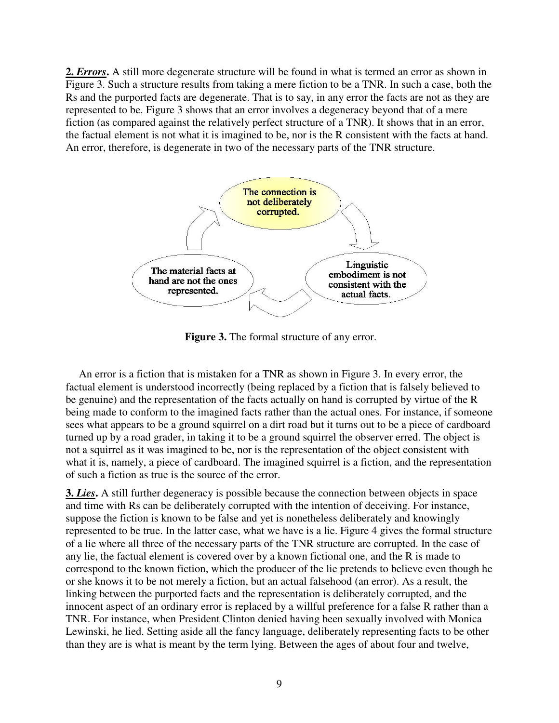2. *Errors*. A still more degenerate structure will be found in what is termed an error as shown in Figure 3. Such a structure results from taking a mere fiction to be a TNR. In such a case, both the Rs and the purported facts are degenerate. That is to say, in any error the facts are not as they are represented to be. Figure 3 shows that an error involves a degeneracy beyond that of a mere fiction (as compared against the relatively perfect structure of a TNR). It shows that in an error, the factual element is not what it is imagined to be, nor is the R consistent with the facts at hand. An error, therefore, is degenerate in two of the necessary parts of the TNR structure.



**Figure 3.** The formal structure of any error.

An error is a fiction that is mistaken for a TNR as shown in Figure 3. In every error, the factual element is understood incorrectly (being replaced by a fiction that is falsely believed to be genuine) and the representation of the facts actually on hand is corrupted by virtue of the R being made to conform to the imagined facts rather than the actual ones. For instance, if someone sees what appears to be a ground squirrel on a dirt road but it turns out to be a piece of cardboard turned up by a road grader, in taking it to be a ground squirrel the observer erred. The object is not a squirrel as it was imagined to be, nor is the representation of the object consistent with what it is, namely, a piece of cardboard. The imagined squirrel is a fiction, and the representation of such a fiction as true is the source of the error.

**3.** *Lies***.** A still further degeneracy is possible because the connection between objects in space and time with Rs can be deliberately corrupted with the intention of deceiving. For instance, suppose the fiction is known to be false and yet is nonetheless deliberately and knowingly represented to be true. In the latter case, what we have is a lie. Figure 4 gives the formal structure of a lie where all three of the necessary parts of the TNR structure are corrupted. In the case of any lie, the factual element is covered over by a known fictional one, and the R is made to correspond to the known fiction, which the producer of the lie pretends to believe even though he or she knows it to be not merely a fiction, but an actual falsehood (an error). As a result, the linking between the purported facts and the representation is deliberately corrupted, and the innocent aspect of an ordinary error is replaced by a willful preference for a false R rather than a TNR. For instance, when President Clinton denied having been sexually involved with Monica Lewinski, he lied. Setting aside all the fancy language, deliberately representing facts to be other than they are is what is meant by the term lying. Between the ages of about four and twelve,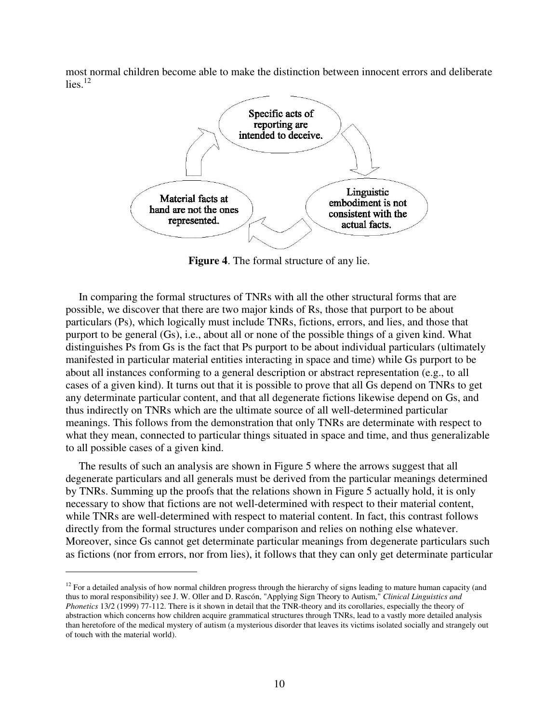most normal children become able to make the distinction between innocent errors and deliberate  $lies.$ <sup>12</sup>



**Figure 4**. The formal structure of any lie.

In comparing the formal structures of TNRs with all the other structural forms that are possible, we discover that there are two major kinds of Rs, those that purport to be about particulars (Ps), which logically must include TNRs, fictions, errors, and lies, and those that purport to be general (Gs), i.e., about all or none of the possible things of a given kind. What distinguishes Ps from Gs is the fact that Ps purport to be about individual particulars (ultimately manifested in particular material entities interacting in space and time) while Gs purport to be about all instances conforming to a general description or abstract representation (e.g., to all cases of a given kind). It turns out that it is possible to prove that all Gs depend on TNRs to get any determinate particular content, and that all degenerate fictions likewise depend on Gs, and thus indirectly on TNRs which are the ultimate source of all well-determined particular meanings. This follows from the demonstration that only TNRs are determinate with respect to what they mean, connected to particular things situated in space and time, and thus generalizable to all possible cases of a given kind.

The results of such an analysis are shown in Figure 5 where the arrows suggest that all degenerate particulars and all generals must be derived from the particular meanings determined by TNRs. Summing up the proofs that the relations shown in Figure 5 actually hold, it is only necessary to show that fictions are not well-determined with respect to their material content, while TNRs are well-determined with respect to material content. In fact, this contrast follows directly from the formal structures under comparison and relies on nothing else whatever. Moreover, since Gs cannot get determinate particular meanings from degenerate particulars such as fictions (nor from errors, nor from lies), it follows that they can only get determinate particular

<sup>&</sup>lt;sup>12</sup> For a detailed analysis of how normal children progress through the hierarchy of signs leading to mature human capacity (and thus to moral responsibility) see J. W. Oller and D. Rascón, "Applying Sign Theory to Autism," *Clinical Linguistics and Phonetics* 13/2 (1999) 77-112. There is it shown in detail that the TNR-theory and its corollaries, especially the theory of abstraction which concerns how children acquire grammatical structures through TNRs, lead to a vastly more detailed analysis than heretofore of the medical mystery of autism (a mysterious disorder that leaves its victims isolated socially and strangely out of touch with the material world).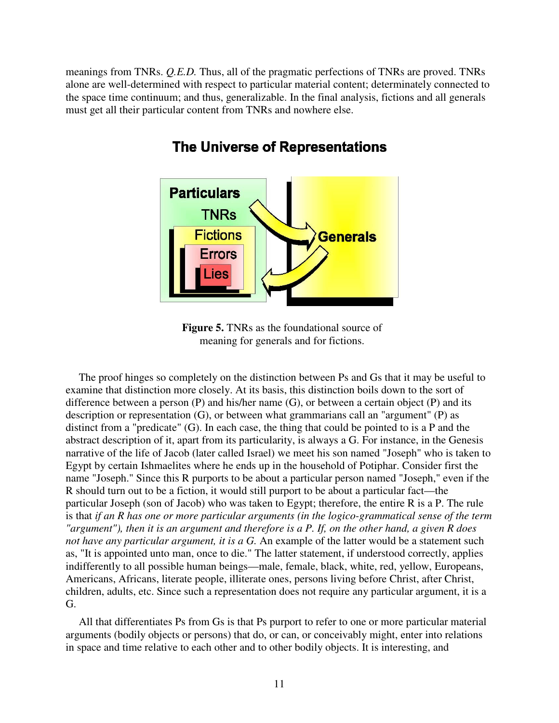meanings from TNRs. *Q.E.D.* Thus, all of the pragmatic perfections of TNRs are proved. TNRs alone are well-determined with respect to particular material content; determinately connected to the space time continuum; and thus, generalizable. In the final analysis, fictions and all generals must get all their particular content from TNRs and nowhere else.



# The Universe of Representations

**Figure 5.** TNRs as the foundational source of meaning for generals and for fictions.

The proof hinges so completely on the distinction between Ps and Gs that it may be useful to examine that distinction more closely. At its basis, this distinction boils down to the sort of difference between a person (P) and his/her name (G), or between a certain object (P) and its description or representation (G), or between what grammarians call an "argument" (P) as distinct from a "predicate" (G). In each case, the thing that could be pointed to is a P and the abstract description of it, apart from its particularity, is always a G. For instance, in the Genesis narrative of the life of Jacob (later called Israel) we meet his son named "Joseph" who is taken to Egypt by certain Ishmaelites where he ends up in the household of Potiphar. Consider first the name "Joseph." Since this R purports to be about a particular person named "Joseph," even if the R should turn out to be a fiction, it would still purport to be about a particular fact—the particular Joseph (son of Jacob) who was taken to Egypt; therefore, the entire R is a P. The rule is that *if an R has one or more particular arguments (in the logico-grammatical sense of the term "argument"), then it is an argument and therefore is a P. If, on the other hand, a given R does not have any particular argument, it is a G.* An example of the latter would be a statement such as, "It is appointed unto man, once to die." The latter statement, if understood correctly, applies indifferently to all possible human beings—male, female, black, white, red, yellow, Europeans, Americans, Africans, literate people, illiterate ones, persons living before Christ, after Christ, children, adults, etc. Since such a representation does not require any particular argument, it is a G.

All that differentiates Ps from Gs is that Ps purport to refer to one or more particular material arguments (bodily objects or persons) that do, or can, or conceivably might, enter into relations in space and time relative to each other and to other bodily objects. It is interesting, and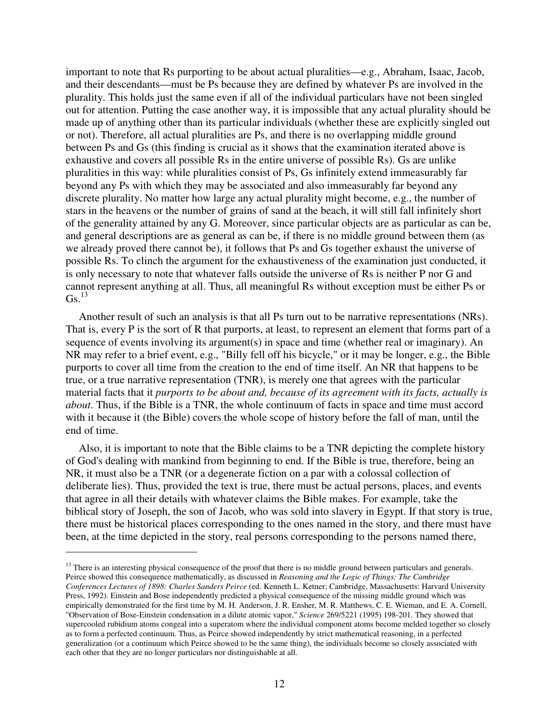important to note that Rs purporting to be about actual pluralities—e.g., Abraham, Isaac, Jacob, and their descendants—must be Ps because they are defined by whatever Ps are involved in the plurality. This holds just the same even if all of the individual particulars have not been singled out for attention. Putting the case another way, it is impossible that any actual plurality should be made up of anything other than its particular individuals (whether these are explicitly singled out or not). Therefore, all actual pluralities are Ps, and there is no overlapping middle ground between Ps and Gs (this finding is crucial as it shows that the examination iterated above is exhaustive and covers all possible Rs in the entire universe of possible Rs). Gs are unlike pluralities in this way: while pluralities consist of Ps, Gs infinitely extend immeasurably far beyond any Ps with which they may be associated and also immeasurably far beyond any discrete plurality. No matter how large any actual plurality might become, e.g., the number of stars in the heavens or the number of grains of sand at the beach, it will still fall infinitely short of the generality attained by any G. Moreover, since particular objects are as particular as can be, and general descriptions are as general as can be, if there is no middle ground between them (as we already proved there cannot be), it follows that Ps and Gs together exhaust the universe of possible Rs. To clinch the argument for the exhaustiveness of the examination just conducted, it is only necessary to note that whatever falls outside the universe of Rs is neither P nor G and cannot represent anything at all. Thus, all meaningful Rs without exception must be either Ps or  $\text{Gs.}^{13}$ 

Another result of such an analysis is that all Ps turn out to be narrative representations (NRs). That is, every P is the sort of R that purports, at least, to represent an element that forms part of a sequence of events involving its argument(s) in space and time (whether real or imaginary). An NR may refer to a brief event, e.g., "Billy fell off his bicycle," or it may be longer, e.g., the Bible purports to cover all time from the creation to the end of time itself. An NR that happens to be true, or a true narrative representation (TNR), is merely one that agrees with the particular material facts that it *purports to be about and, because of its agreement with its facts, actually is about*. Thus, if the Bible is a TNR, the whole continuum of facts in space and time must accord with it because it (the Bible) covers the whole scope of history before the fall of man, until the end of time.

Also, it is important to note that the Bible claims to be a TNR depicting the complete history of God's dealing with mankind from beginning to end. If the Bible is true, therefore, being an NR, it must also be a TNR (or a degenerate fiction on a par with a colossal collection of deliberate lies). Thus, provided the text is true, there must be actual persons, places, and events that agree in all their details with whatever claims the Bible makes. For example, take the biblical story of Joseph, the son of Jacob, who was sold into slavery in Egypt. If that story is true, there must be historical places corresponding to the ones named in the story, and there must have been, at the time depicted in the story, real persons corresponding to the persons named there,

<sup>&</sup>lt;sup>13</sup> There is an interesting physical consequence of the proof that there is no middle ground between particulars and generals. Peirce showed this consequence mathematically, as discussed in *Reasoning and the Logic of Things: The Cambridge Conferences Lectures of 1898: Charles Sanders Peirce* (ed. Kenneth L. Ketner; Cambridge, Massachusetts: Harvard University Press, 1992). Einstein and Bose independently predicted a physical consequence of the missing middle ground which was empirically demonstrated for the first time by M. H. Anderson, J. R. Ensher, M. R. Matthews, C. E. Wieman, and E. A. Cornell, "Observation of Bose-Einstein condensation in a dilute atomic vapor," *Science* 269/5221 (1995) 198-201. They showed that supercooled rubidium atoms congeal into a superatom where the individual component atoms become melded together so closely as to form a perfected continuum. Thus, as Peirce showed independently by strict mathematical reasoning, in a perfected generalization (or a continuum which Peirce showed to be the same thing), the individuals become so closely associated with each other that they are no longer particulars nor distinguishable at all.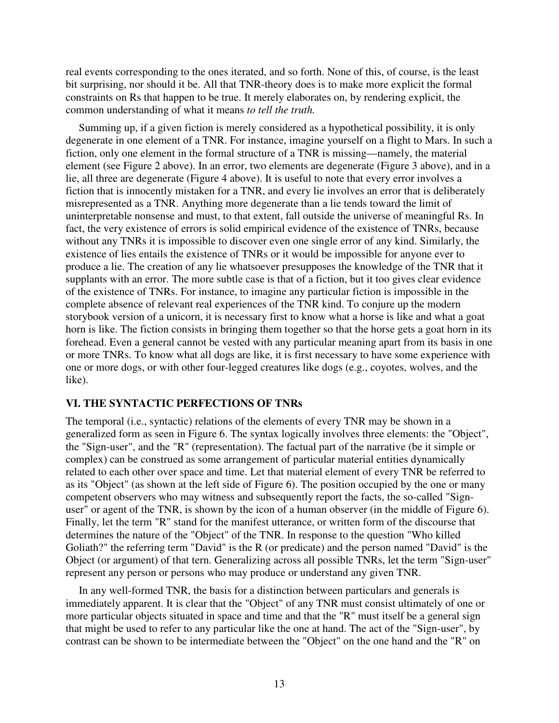real events corresponding to the ones iterated, and so forth. None of this, of course, is the least bit surprising, nor should it be. All that TNR-theory does is to make more explicit the formal constraints on Rs that happen to be true. It merely elaborates on, by rendering explicit, the common understanding of what it means *to tell the truth.* 

Summing up, if a given fiction is merely considered as a hypothetical possibility, it is only degenerate in one element of a TNR. For instance, imagine yourself on a flight to Mars. In such a fiction, only one element in the formal structure of a TNR is missing—namely, the material element (see Figure 2 above). In an error, two elements are degenerate (Figure 3 above), and in a lie, all three are degenerate (Figure 4 above). It is useful to note that every error involves a fiction that is innocently mistaken for a TNR, and every lie involves an error that is deliberately misrepresented as a TNR. Anything more degenerate than a lie tends toward the limit of uninterpretable nonsense and must, to that extent, fall outside the universe of meaningful Rs. In fact, the very existence of errors is solid empirical evidence of the existence of TNRs, because without any TNRs it is impossible to discover even one single error of any kind. Similarly, the existence of lies entails the existence of TNRs or it would be impossible for anyone ever to produce a lie. The creation of any lie whatsoever presupposes the knowledge of the TNR that it supplants with an error. The more subtle case is that of a fiction, but it too gives clear evidence of the existence of TNRs. For instance, to imagine any particular fiction is impossible in the complete absence of relevant real experiences of the TNR kind. To conjure up the modern storybook version of a unicorn, it is necessary first to know what a horse is like and what a goat horn is like. The fiction consists in bringing them together so that the horse gets a goat horn in its forehead. Even a general cannot be vested with any particular meaning apart from its basis in one or more TNRs. To know what all dogs are like, it is first necessary to have some experience with one or more dogs, or with other four-legged creatures like dogs (e.g., coyotes, wolves, and the like).

#### **VI. THE SYNTACTIC PERFECTIONS OF TNRs**

The temporal (i.e., syntactic) relations of the elements of every TNR may be shown in a generalized form as seen in Figure 6. The syntax logically involves three elements: the "Object", the "Sign-user", and the "R" (representation). The factual part of the narrative (be it simple or complex) can be construed as some arrangement of particular material entities dynamically related to each other over space and time. Let that material element of every TNR be referred to as its "Object" (as shown at the left side of Figure 6). The position occupied by the one or many competent observers who may witness and subsequently report the facts, the so-called "Signuser" or agent of the TNR, is shown by the icon of a human observer (in the middle of Figure 6). Finally, let the term "R" stand for the manifest utterance, or written form of the discourse that determines the nature of the "Object" of the TNR. In response to the question "Who killed Goliath?" the referring term "David" is the R (or predicate) and the person named "David" is the Object (or argument) of that tern. Generalizing across all possible TNRs, let the term "Sign-user" represent any person or persons who may produce or understand any given TNR.

In any well-formed TNR, the basis for a distinction between particulars and generals is immediately apparent. It is clear that the "Object" of any TNR must consist ultimately of one or more particular objects situated in space and time and that the "R" must itself be a general sign that might be used to refer to any particular like the one at hand. The act of the "Sign-user", by contrast can be shown to be intermediate between the "Object" on the one hand and the "R" on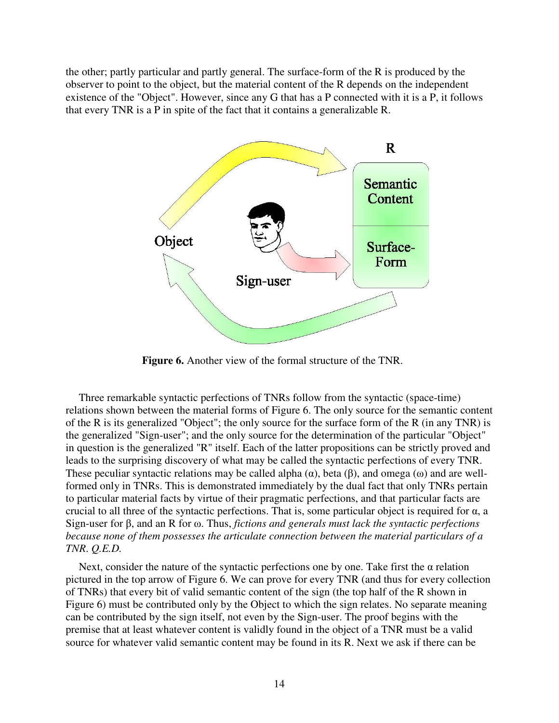the other; partly particular and partly general. The surface-form of the R is produced by the observer to point to the object, but the material content of the R depends on the independent existence of the "Object". However, since any G that has a P connected with it is a P, it follows that every TNR is a P in spite of the fact that it contains a generalizable R.



**Figure 6.** Another view of the formal structure of the TNR.

Three remarkable syntactic perfections of TNRs follow from the syntactic (space-time) relations shown between the material forms of Figure 6. The only source for the semantic content of the R is its generalized "Object"; the only source for the surface form of the R (in any TNR) is the generalized "Sign-user"; and the only source for the determination of the particular "Object" in question is the generalized "R" itself. Each of the latter propositions can be strictly proved and leads to the surprising discovery of what may be called the syntactic perfections of every TNR. These peculiar syntactic relations may be called alpha  $(\alpha)$ , beta  $(\beta)$ , and omega  $(\omega)$  and are wellformed only in TNRs. This is demonstrated immediately by the dual fact that only TNRs pertain to particular material facts by virtue of their pragmatic perfections, and that particular facts are crucial to all three of the syntactic perfections. That is, some particular object is required for  $\alpha$ , a Sign-user for β, and an R for ω. Thus, *fictions and generals must lack the syntactic perfections because none of them possesses the articulate connection between the material particulars of a TNR*. *Q.E.D.* 

Next, consider the nature of the syntactic perfections one by one. Take first the  $\alpha$  relation pictured in the top arrow of Figure 6. We can prove for every TNR (and thus for every collection of TNRs) that every bit of valid semantic content of the sign (the top half of the R shown in Figure 6) must be contributed only by the Object to which the sign relates. No separate meaning can be contributed by the sign itself, not even by the Sign-user. The proof begins with the premise that at least whatever content is validly found in the object of a TNR must be a valid source for whatever valid semantic content may be found in its R. Next we ask if there can be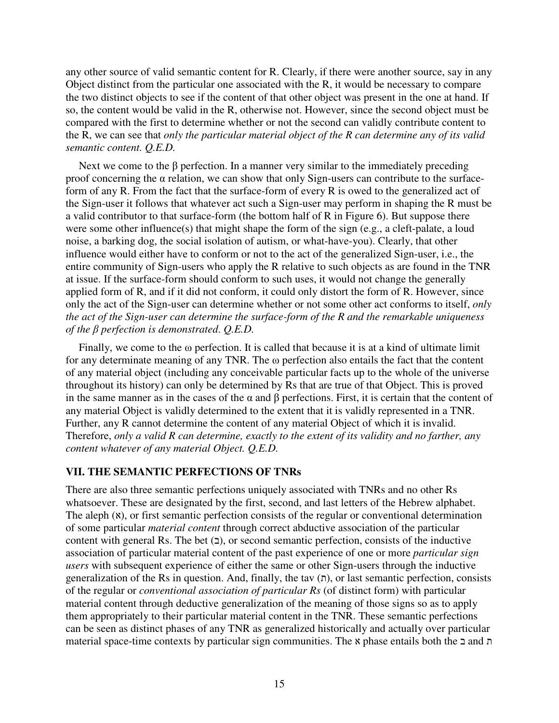any other source of valid semantic content for R. Clearly, if there were another source, say in any Object distinct from the particular one associated with the R, it would be necessary to compare the two distinct objects to see if the content of that other object was present in the one at hand. If so, the content would be valid in the R, otherwise not. However, since the second object must be compared with the first to determine whether or not the second can validly contribute content to the R, we can see that *only the particular material object of the R can determine any of its valid semantic content. Q.E.D.* 

Next we come to the  $\beta$  perfection. In a manner very similar to the immediately preceding proof concerning the α relation, we can show that only Sign-users can contribute to the surfaceform of any R. From the fact that the surface-form of every R is owed to the generalized act of the Sign-user it follows that whatever act such a Sign-user may perform in shaping the R must be a valid contributor to that surface-form (the bottom half of R in Figure 6). But suppose there were some other influence(s) that might shape the form of the sign (e.g., a cleft-palate, a loud noise, a barking dog, the social isolation of autism, or what-have-you). Clearly, that other influence would either have to conform or not to the act of the generalized Sign-user, i.e., the entire community of Sign-users who apply the R relative to such objects as are found in the TNR at issue. If the surface-form should conform to such uses, it would not change the generally applied form of R, and if it did not conform, it could only distort the form of R. However, since only the act of the Sign-user can determine whether or not some other act conforms to itself, *only the act of the Sign-user can determine the surface-form of the R and the remarkable uniqueness of the* β *perfection is demonstrated*. *Q.E.D.* 

Finally, we come to the  $\omega$  perfection. It is called that because it is at a kind of ultimate limit for any determinate meaning of any TNR. The ω perfection also entails the fact that the content of any material object (including any conceivable particular facts up to the whole of the universe throughout its history) can only be determined by Rs that are true of that Object. This is proved in the same manner as in the cases of the  $\alpha$  and  $\beta$  perfections. First, it is certain that the content of any material Object is validly determined to the extent that it is validly represented in a TNR. Further, any R cannot determine the content of any material Object of which it is invalid. Therefore, *only a valid R can determine, exactly to the extent of its validity and no farther, any content whatever of any material Object. Q.E.D.* 

#### **VII. THE SEMANTIC PERFECTIONS OF TNRs**

There are also three semantic perfections uniquely associated with TNRs and no other Rs whatsoever. These are designated by the first, second, and last letters of the Hebrew alphabet. The aleph  $(x)$ , or first semantic perfection consists of the regular or conventional determination of some particular *material content* through correct abductive association of the particular content with general Rs. The bet  $(2)$ , or second semantic perfection, consists of the inductive association of particular material content of the past experience of one or more *particular sign users* with subsequent experience of either the same or other Sign-users through the inductive generalization of the Rs in question. And, finally, the tav  $(n)$ , or last semantic perfection, consists of the regular or *conventional association of particular Rs* (of distinct form) with particular material content through deductive generalization of the meaning of those signs so as to apply them appropriately to their particular material content in the TNR. These semantic perfections can be seen as distinct phases of any TNR as generalized historically and actually over particular material space-time contexts by particular sign communities. The א phase entails both the ב and ת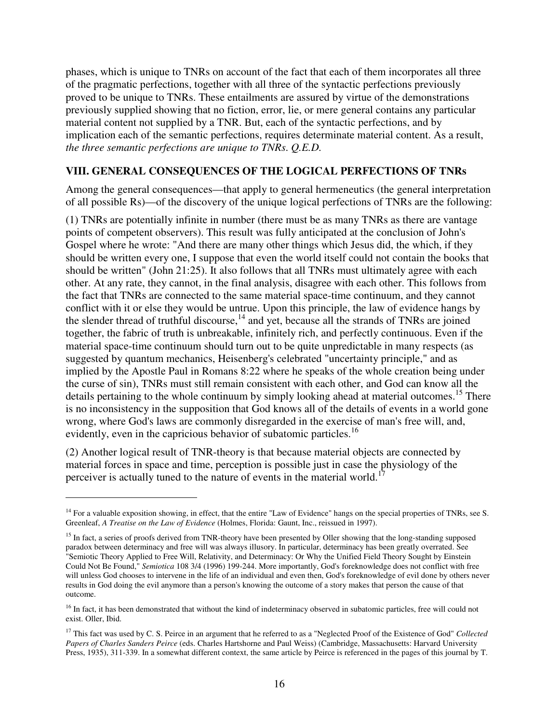phases, which is unique to TNRs on account of the fact that each of them incorporates all three of the pragmatic perfections, together with all three of the syntactic perfections previously proved to be unique to TNRs. These entailments are assured by virtue of the demonstrations previously supplied showing that no fiction, error, lie, or mere general contains any particular material content not supplied by a TNR. But, each of the syntactic perfections, and by implication each of the semantic perfections, requires determinate material content. As a result, *the three semantic perfections are unique to TNRs*. *Q.E.D.* 

#### **VIII. GENERAL CONSEQUENCES OF THE LOGICAL PERFECTIONS OF TNRs**

Among the general consequences—that apply to general hermeneutics (the general interpretation of all possible Rs)—of the discovery of the unique logical perfections of TNRs are the following:

(1) TNRs are potentially infinite in number (there must be as many TNRs as there are vantage points of competent observers). This result was fully anticipated at the conclusion of John's Gospel where he wrote: "And there are many other things which Jesus did, the which, if they should be written every one, I suppose that even the world itself could not contain the books that should be written" (John 21:25). It also follows that all TNRs must ultimately agree with each other. At any rate, they cannot, in the final analysis, disagree with each other. This follows from the fact that TNRs are connected to the same material space-time continuum, and they cannot conflict with it or else they would be untrue. Upon this principle, the law of evidence hangs by the slender thread of truthful discourse,<sup>14</sup> and yet, because all the strands of TNRs are joined together, the fabric of truth is unbreakable, infinitely rich, and perfectly continuous. Even if the material space-time continuum should turn out to be quite unpredictable in many respects (as suggested by quantum mechanics, Heisenberg's celebrated "uncertainty principle," and as implied by the Apostle Paul in Romans 8:22 where he speaks of the whole creation being under the curse of sin), TNRs must still remain consistent with each other, and God can know all the details pertaining to the whole continuum by simply looking ahead at material outcomes.<sup>15</sup> There is no inconsistency in the supposition that God knows all of the details of events in a world gone wrong, where God's laws are commonly disregarded in the exercise of man's free will, and, evidently, even in the capricious behavior of subatomic particles.<sup>16</sup>

(2) Another logical result of TNR-theory is that because material objects are connected by material forces in space and time, perception is possible just in case the physiology of the perceiver is actually tuned to the nature of events in the material world.<sup>1</sup>

<sup>&</sup>lt;sup>14</sup> For a valuable exposition showing, in effect, that the entire "Law of Evidence" hangs on the special properties of TNRs, see S. Greenleaf, *A Treatise on the Law of Evidence* (Holmes, Florida: Gaunt, Inc., reissued in 1997).

<sup>&</sup>lt;sup>15</sup> In fact, a series of proofs derived from TNR-theory have been presented by Oller showing that the long-standing supposed paradox between determinacy and free will was always illusory. In particular, determinacy has been greatly overrated. See "Semiotic Theory Applied to Free Will, Relativity, and Determinacy: Or Why the Unified Field Theory Sought by Einstein Could Not Be Found," *Semiotica* 108 3/4 (1996) 199-244. More importantly, God's foreknowledge does not conflict with free will unless God chooses to intervene in the life of an individual and even then, God's foreknowledge of evil done by others never results in God doing the evil anymore than a person's knowing the outcome of a story makes that person the cause of that outcome.

<sup>&</sup>lt;sup>16</sup> In fact, it has been demonstrated that without the kind of indeterminacy observed in subatomic particles, free will could not exist. Oller, Ibid.

<sup>&</sup>lt;sup>17</sup> This fact was used by C. S. Peirce in an argument that he referred to as a "Neglected Proof of the Existence of God" *Collected Papers of Charles Sanders Peirce* (eds. Charles Hartshorne and Paul Weiss) (Cambridge, Massachusetts: Harvard University Press, 1935), 311-339. In a somewhat different context, the same article by Peirce is referenced in the pages of this journal by T.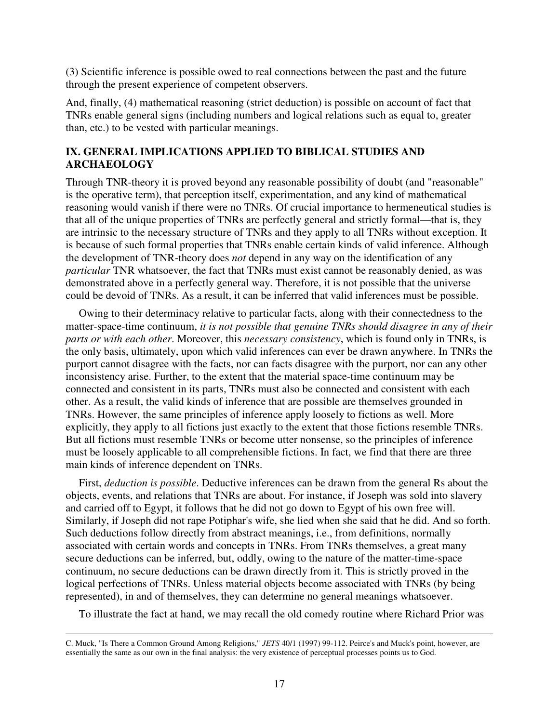(3) Scientific inference is possible owed to real connections between the past and the future through the present experience of competent observers.

And, finally, (4) mathematical reasoning (strict deduction) is possible on account of fact that TNRs enable general signs (including numbers and logical relations such as equal to, greater than, etc.) to be vested with particular meanings.

#### **IX. GENERAL IMPLICATIONS APPLIED TO BIBLICAL STUDIES AND ARCHAEOLOGY**

Through TNR-theory it is proved beyond any reasonable possibility of doubt (and "reasonable" is the operative term), that perception itself, experimentation, and any kind of mathematical reasoning would vanish if there were no TNRs. Of crucial importance to hermeneutical studies is that all of the unique properties of TNRs are perfectly general and strictly formal—that is, they are intrinsic to the necessary structure of TNRs and they apply to all TNRs without exception. It is because of such formal properties that TNRs enable certain kinds of valid inference. Although the development of TNR-theory does *not* depend in any way on the identification of any *particular* TNR whatsoever, the fact that TNRs must exist cannot be reasonably denied, as was demonstrated above in a perfectly general way. Therefore, it is not possible that the universe could be devoid of TNRs. As a result, it can be inferred that valid inferences must be possible.

Owing to their determinacy relative to particular facts, along with their connectedness to the matter-space-time continuum, *it is not possible that genuine TNRs should disagree in any of their parts or with each other*. Moreover, this *necessary consistency*, which is found only in TNRs, is the only basis, ultimately, upon which valid inferences can ever be drawn anywhere. In TNRs the purport cannot disagree with the facts, nor can facts disagree with the purport, nor can any other inconsistency arise. Further, to the extent that the material space-time continuum may be connected and consistent in its parts, TNRs must also be connected and consistent with each other. As a result, the valid kinds of inference that are possible are themselves grounded in TNRs. However, the same principles of inference apply loosely to fictions as well. More explicitly, they apply to all fictions just exactly to the extent that those fictions resemble TNRs. But all fictions must resemble TNRs or become utter nonsense, so the principles of inference must be loosely applicable to all comprehensible fictions. In fact, we find that there are three main kinds of inference dependent on TNRs.

First, *deduction is possible*. Deductive inferences can be drawn from the general Rs about the objects, events, and relations that TNRs are about. For instance, if Joseph was sold into slavery and carried off to Egypt, it follows that he did not go down to Egypt of his own free will. Similarly, if Joseph did not rape Potiphar's wife, she lied when she said that he did. And so forth. Such deductions follow directly from abstract meanings, i.e., from definitions, normally associated with certain words and concepts in TNRs. From TNRs themselves, a great many secure deductions can be inferred, but, oddly, owing to the nature of the matter-time-space continuum, no secure deductions can be drawn directly from it. This is strictly proved in the logical perfections of TNRs. Unless material objects become associated with TNRs (by being represented), in and of themselves, they can determine no general meanings whatsoever.

To illustrate the fact at hand, we may recall the old comedy routine where Richard Prior was

 $\overline{a}$ C. Muck, "Is There a Common Ground Among Religions," *JETS* 40/1 (1997) 99-112. Peirce's and Muck's point, however, are essentially the same as our own in the final analysis: the very existence of perceptual processes points us to God.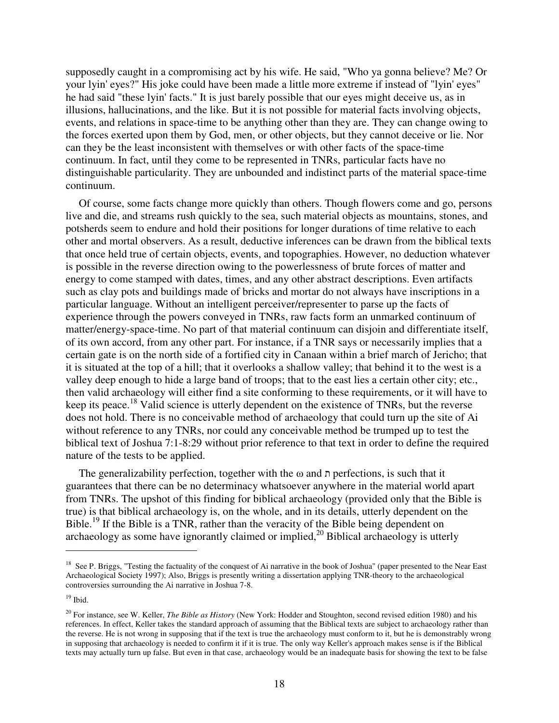supposedly caught in a compromising act by his wife. He said, "Who ya gonna believe? Me? Or your lyin' eyes?" His joke could have been made a little more extreme if instead of "lyin' eyes" he had said "these lyin' facts." It is just barely possible that our eyes might deceive us, as in illusions, hallucinations, and the like. But it is not possible for material facts involving objects, events, and relations in space-time to be anything other than they are. They can change owing to the forces exerted upon them by God, men, or other objects, but they cannot deceive or lie. Nor can they be the least inconsistent with themselves or with other facts of the space-time continuum. In fact, until they come to be represented in TNRs, particular facts have no distinguishable particularity. They are unbounded and indistinct parts of the material space-time continuum.

Of course, some facts change more quickly than others. Though flowers come and go, persons live and die, and streams rush quickly to the sea, such material objects as mountains, stones, and potsherds seem to endure and hold their positions for longer durations of time relative to each other and mortal observers. As a result, deductive inferences can be drawn from the biblical texts that once held true of certain objects, events, and topographies. However, no deduction whatever is possible in the reverse direction owing to the powerlessness of brute forces of matter and energy to come stamped with dates, times, and any other abstract descriptions. Even artifacts such as clay pots and buildings made of bricks and mortar do not always have inscriptions in a particular language. Without an intelligent perceiver/representer to parse up the facts of experience through the powers conveyed in TNRs, raw facts form an unmarked continuum of matter/energy-space-time. No part of that material continuum can disjoin and differentiate itself, of its own accord, from any other part. For instance, if a TNR says or necessarily implies that a certain gate is on the north side of a fortified city in Canaan within a brief march of Jericho; that it is situated at the top of a hill; that it overlooks a shallow valley; that behind it to the west is a valley deep enough to hide a large band of troops; that to the east lies a certain other city; etc., then valid archaeology will either find a site conforming to these requirements, or it will have to keep its peace.<sup>18</sup> Valid science is utterly dependent on the existence of TNRs, but the reverse does not hold. There is no conceivable method of archaeology that could turn up the site of Ai without reference to any TNRs, nor could any conceivable method be trumped up to test the biblical text of Joshua 7:1-8:29 without prior reference to that text in order to define the required nature of the tests to be applied.

The generalizability perfection, together with the  $\omega$  and  $\eta$  perfections, is such that it guarantees that there can be no determinacy whatsoever anywhere in the material world apart from TNRs. The upshot of this finding for biblical archaeology (provided only that the Bible is true) is that biblical archaeology is, on the whole, and in its details, utterly dependent on the Bible.<sup>19</sup> If the Bible is a TNR, rather than the veracity of the Bible being dependent on archaeology as some have ignorantly claimed or implied, $2<sup>0</sup>$  Biblical archaeology is utterly

<sup>&</sup>lt;sup>18</sup> See P. Briggs, "Testing the factuality of the conquest of Ai narrative in the book of Joshua" (paper presented to the Near East Archaeological Society 1997); Also, Briggs is presently writing a dissertation applying TNR-theory to the archaeological controversies surrounding the Ai narrative in Joshua 7-8.

 $19$  Ibid.

<sup>20</sup> For instance, see W. Keller, *The Bible as History* (New York: Hodder and Stoughton, second revised edition 1980) and his references. In effect, Keller takes the standard approach of assuming that the Biblical texts are subject to archaeology rather than the reverse. He is not wrong in supposing that if the text is true the archaeology must conform to it, but he is demonstrably wrong in supposing that archaeology is needed to confirm it if it is true. The only way Keller's approach makes sense is if the Biblical texts may actually turn up false. But even in that case, archaeology would be an inadequate basis for showing the text to be false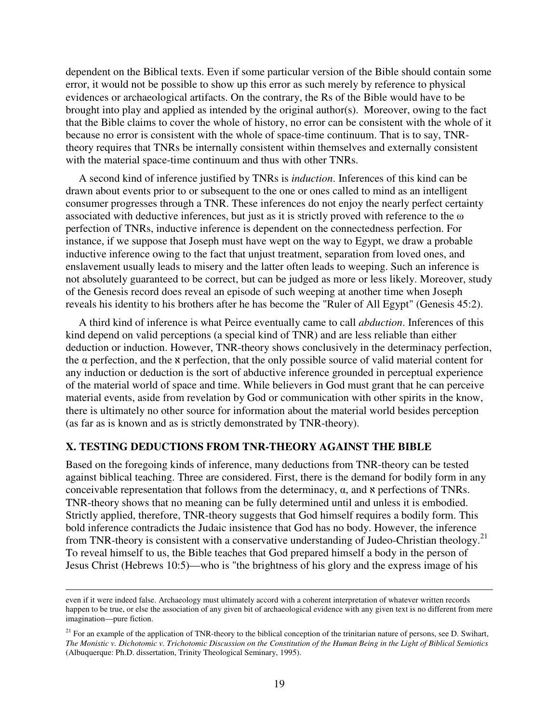dependent on the Biblical texts. Even if some particular version of the Bible should contain some error, it would not be possible to show up this error as such merely by reference to physical evidences or archaeological artifacts. On the contrary, the Rs of the Bible would have to be brought into play and applied as intended by the original author(s). Moreover, owing to the fact that the Bible claims to cover the whole of history, no error can be consistent with the whole of it because no error is consistent with the whole of space-time continuum. That is to say, TNRtheory requires that TNRs be internally consistent within themselves and externally consistent with the material space-time continuum and thus with other TNRs.

A second kind of inference justified by TNRs is *induction*. Inferences of this kind can be drawn about events prior to or subsequent to the one or ones called to mind as an intelligent consumer progresses through a TNR. These inferences do not enjoy the nearly perfect certainty associated with deductive inferences, but just as it is strictly proved with reference to the ω perfection of TNRs, inductive inference is dependent on the connectedness perfection. For instance, if we suppose that Joseph must have wept on the way to Egypt, we draw a probable inductive inference owing to the fact that unjust treatment, separation from loved ones, and enslavement usually leads to misery and the latter often leads to weeping. Such an inference is not absolutely guaranteed to be correct, but can be judged as more or less likely. Moreover, study of the Genesis record does reveal an episode of such weeping at another time when Joseph reveals his identity to his brothers after he has become the "Ruler of All Egypt" (Genesis 45:2).

A third kind of inference is what Peirce eventually came to call *abduction*. Inferences of this kind depend on valid perceptions (a special kind of TNR) and are less reliable than either deduction or induction. However, TNR-theory shows conclusively in the determinacy perfection, the  $\alpha$  perfection, and the  $\alpha$  perfection, that the only possible source of valid material content for any induction or deduction is the sort of abductive inference grounded in perceptual experience of the material world of space and time. While believers in God must grant that he can perceive material events, aside from revelation by God or communication with other spirits in the know, there is ultimately no other source for information about the material world besides perception (as far as is known and as is strictly demonstrated by TNR-theory).

#### **X. TESTING DEDUCTIONS FROM TNR-THEORY AGAINST THE BIBLE**

 $\overline{a}$ 

Based on the foregoing kinds of inference, many deductions from TNR-theory can be tested against biblical teaching. Three are considered. First, there is the demand for bodily form in any conceivable representation that follows from the determinacy, α, and א perfections of TNRs. TNR-theory shows that no meaning can be fully determined until and unless it is embodied. Strictly applied, therefore, TNR-theory suggests that God himself requires a bodily form. This bold inference contradicts the Judaic insistence that God has no body. However, the inference from TNR-theory is consistent with a conservative understanding of Judeo-Christian theology.<sup>21</sup> To reveal himself to us, the Bible teaches that God prepared himself a body in the person of Jesus Christ (Hebrews 10:5)—who is "the brightness of his glory and the express image of his

even if it were indeed false. Archaeology must ultimately accord with a coherent interpretation of whatever written records happen to be true, or else the association of any given bit of archaeological evidence with any given text is no different from mere imagination—pure fiction.

 $21$  For an example of the application of TNR-theory to the biblical conception of the trinitarian nature of persons, see D. Swihart, *The Monistic v. Dichotomic v. Trichotomic Discussion on the Constitution of the Human Being in the Light of Biblical Semiotics*  (Albuquerque: Ph.D. dissertation, Trinity Theological Seminary, 1995).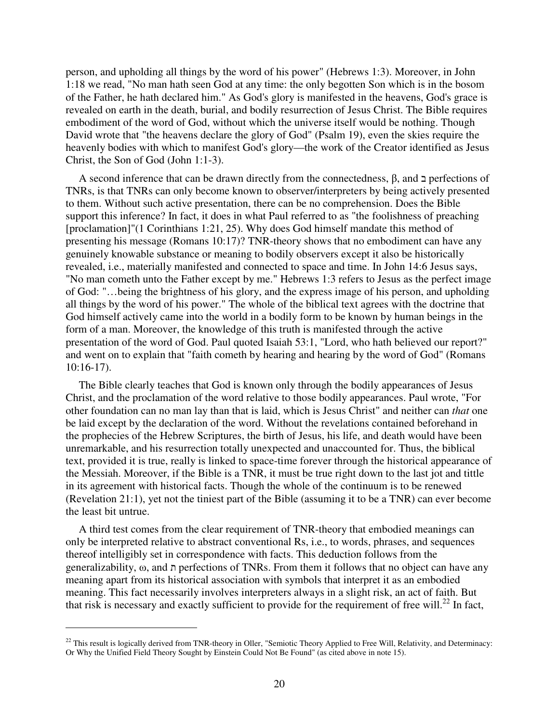person, and upholding all things by the word of his power" (Hebrews 1:3). Moreover, in John 1:18 we read, "No man hath seen God at any time: the only begotten Son which is in the bosom of the Father, he hath declared him." As God's glory is manifested in the heavens, God's grace is revealed on earth in the death, burial, and bodily resurrection of Jesus Christ. The Bible requires embodiment of the word of God, without which the universe itself would be nothing. Though David wrote that "the heavens declare the glory of God" (Psalm 19), even the skies require the heavenly bodies with which to manifest God's glory—the work of the Creator identified as Jesus Christ, the Son of God (John 1:1-3).

A second inference that can be drawn directly from the connectedness,  $\beta$ , and  $\alpha$  perfections of TNRs, is that TNRs can only become known to observer/interpreters by being actively presented to them. Without such active presentation, there can be no comprehension. Does the Bible support this inference? In fact, it does in what Paul referred to as "the foolishness of preaching [proclamation]"(1 Corinthians 1:21, 25). Why does God himself mandate this method of presenting his message (Romans 10:17)? TNR-theory shows that no embodiment can have any genuinely knowable substance or meaning to bodily observers except it also be historically revealed, i.e., materially manifested and connected to space and time. In John 14:6 Jesus says, "No man cometh unto the Father except by me." Hebrews 1:3 refers to Jesus as the perfect image of God: "…being the brightness of his glory, and the express image of his person, and upholding all things by the word of his power." The whole of the biblical text agrees with the doctrine that God himself actively came into the world in a bodily form to be known by human beings in the form of a man. Moreover, the knowledge of this truth is manifested through the active presentation of the word of God. Paul quoted Isaiah 53:1, "Lord, who hath believed our report?" and went on to explain that "faith cometh by hearing and hearing by the word of God" (Romans 10:16-17).

The Bible clearly teaches that God is known only through the bodily appearances of Jesus Christ, and the proclamation of the word relative to those bodily appearances. Paul wrote, "For other foundation can no man lay than that is laid, which is Jesus Christ" and neither can *that* one be laid except by the declaration of the word. Without the revelations contained beforehand in the prophecies of the Hebrew Scriptures, the birth of Jesus, his life, and death would have been unremarkable, and his resurrection totally unexpected and unaccounted for. Thus, the biblical text, provided it is true, really is linked to space-time forever through the historical appearance of the Messiah. Moreover, if the Bible is a TNR, it must be true right down to the last jot and tittle in its agreement with historical facts. Though the whole of the continuum is to be renewed (Revelation 21:1), yet not the tiniest part of the Bible (assuming it to be a TNR) can ever become the least bit untrue.

A third test comes from the clear requirement of TNR-theory that embodied meanings can only be interpreted relative to abstract conventional Rs, i.e., to words, phrases, and sequences thereof intelligibly set in correspondence with facts. This deduction follows from the generalizability, ω, and ת perfections of TNRs. From them it follows that no object can have any meaning apart from its historical association with symbols that interpret it as an embodied meaning. This fact necessarily involves interpreters always in a slight risk, an act of faith. But that risk is necessary and exactly sufficient to provide for the requirement of free will.<sup>22</sup> In fact,

 $^{22}$  This result is logically derived from TNR-theory in Oller, "Semiotic Theory Applied to Free Will, Relativity, and Determinacy: Or Why the Unified Field Theory Sought by Einstein Could Not Be Found" (as cited above in note 15).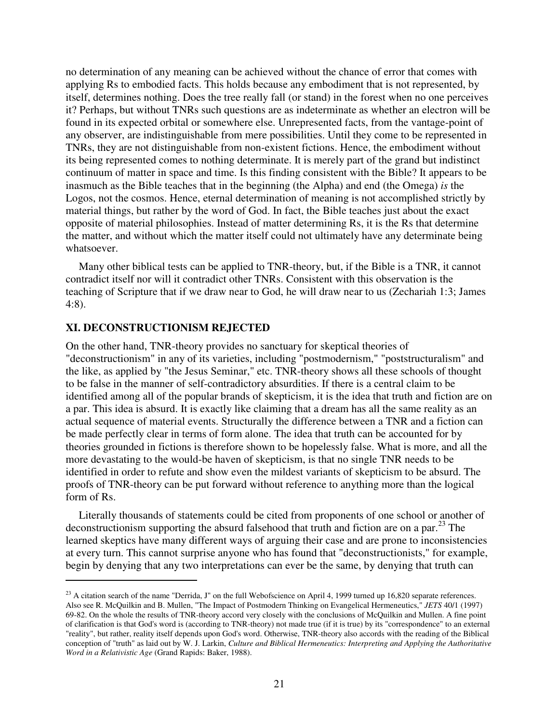no determination of any meaning can be achieved without the chance of error that comes with applying Rs to embodied facts. This holds because any embodiment that is not represented, by itself, determines nothing. Does the tree really fall (or stand) in the forest when no one perceives it? Perhaps, but without TNRs such questions are as indeterminate as whether an electron will be found in its expected orbital or somewhere else. Unrepresented facts, from the vantage-point of any observer, are indistinguishable from mere possibilities. Until they come to be represented in TNRs, they are not distinguishable from non-existent fictions. Hence, the embodiment without its being represented comes to nothing determinate. It is merely part of the grand but indistinct continuum of matter in space and time. Is this finding consistent with the Bible? It appears to be inasmuch as the Bible teaches that in the beginning (the Alpha) and end (the Omega) *is* the Logos, not the cosmos. Hence, eternal determination of meaning is not accomplished strictly by material things, but rather by the word of God. In fact, the Bible teaches just about the exact opposite of material philosophies. Instead of matter determining Rs, it is the Rs that determine the matter, and without which the matter itself could not ultimately have any determinate being whatsoever.

Many other biblical tests can be applied to TNR-theory, but, if the Bible is a TNR, it cannot contradict itself nor will it contradict other TNRs. Consistent with this observation is the teaching of Scripture that if we draw near to God, he will draw near to us (Zechariah 1:3; James 4:8).

#### **XI. DECONSTRUCTIONISM REJECTED**

 $\overline{a}$ 

On the other hand, TNR-theory provides no sanctuary for skeptical theories of "deconstructionism" in any of its varieties, including "postmodernism," "poststructuralism" and the like, as applied by "the Jesus Seminar," etc. TNR-theory shows all these schools of thought to be false in the manner of self-contradictory absurdities. If there is a central claim to be identified among all of the popular brands of skepticism, it is the idea that truth and fiction are on a par. This idea is absurd. It is exactly like claiming that a dream has all the same reality as an actual sequence of material events. Structurally the difference between a TNR and a fiction can be made perfectly clear in terms of form alone. The idea that truth can be accounted for by theories grounded in fictions is therefore shown to be hopelessly false. What is more, and all the more devastating to the would-be haven of skepticism, is that no single TNR needs to be identified in order to refute and show even the mildest variants of skepticism to be absurd. The proofs of TNR-theory can be put forward without reference to anything more than the logical form of Rs.

Literally thousands of statements could be cited from proponents of one school or another of deconstructionism supporting the absurd falsehood that truth and fiction are on a par.<sup>23</sup> The learned skeptics have many different ways of arguing their case and are prone to inconsistencies at every turn. This cannot surprise anyone who has found that "deconstructionists," for example, begin by denying that any two interpretations can ever be the same, by denying that truth can

 $^{23}$  A citation search of the name "Derrida, J" on the full Webofscience on April 4, 1999 turned up 16,820 separate references. Also see R. McQuilkin and B. Mullen, "The Impact of Postmodern Thinking on Evangelical Hermeneutics," *JETS* 40/1 (1997) 69-82. On the whole the results of TNR-theory accord very closely with the conclusions of McQuilkin and Mullen. A fine point of clarification is that God's word is (according to TNR-theory) not made true (if it is true) by its "correspondence" to an external "reality", but rather, reality itself depends upon God's word. Otherwise, TNR-theory also accords with the reading of the Biblical conception of "truth" as laid out by W. J. Larkin, *Culture and Biblical Hermeneutics: Interpreting and Applying the Authoritative Word in a Relativistic Age* (Grand Rapids: Baker, 1988).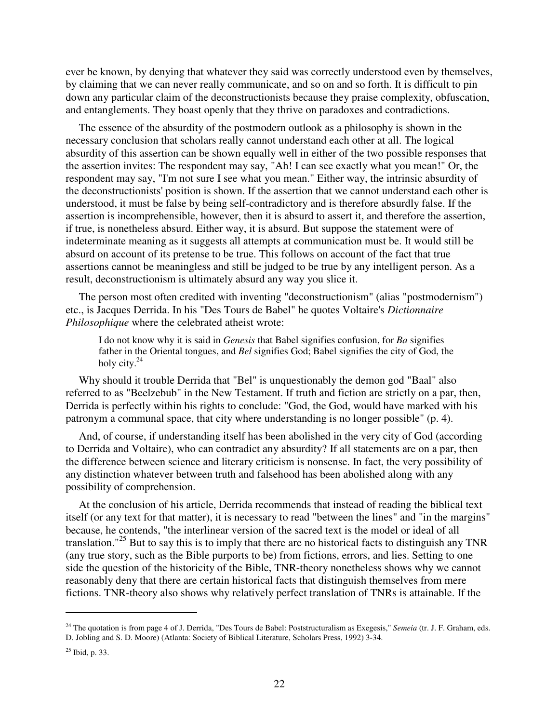ever be known, by denying that whatever they said was correctly understood even by themselves, by claiming that we can never really communicate, and so on and so forth. It is difficult to pin down any particular claim of the deconstructionists because they praise complexity, obfuscation, and entanglements. They boast openly that they thrive on paradoxes and contradictions.

The essence of the absurdity of the postmodern outlook as a philosophy is shown in the necessary conclusion that scholars really cannot understand each other at all. The logical absurdity of this assertion can be shown equally well in either of the two possible responses that the assertion invites: The respondent may say, "Ah! I can see exactly what you mean!" Or, the respondent may say, "I'm not sure I see what you mean." Either way, the intrinsic absurdity of the deconstructionists' position is shown. If the assertion that we cannot understand each other is understood, it must be false by being self-contradictory and is therefore absurdly false. If the assertion is incomprehensible, however, then it is absurd to assert it, and therefore the assertion, if true, is nonetheless absurd. Either way, it is absurd. But suppose the statement were of indeterminate meaning as it suggests all attempts at communication must be. It would still be absurd on account of its pretense to be true. This follows on account of the fact that true assertions cannot be meaningless and still be judged to be true by any intelligent person. As a result, deconstructionism is ultimately absurd any way you slice it.

The person most often credited with inventing "deconstructionism" (alias "postmodernism") etc., is Jacques Derrida. In his "Des Tours de Babel" he quotes Voltaire's *Dictionnaire Philosophique* where the celebrated atheist wrote:

I do not know why it is said in *Genesis* that Babel signifies confusion, for *Ba* signifies father in the Oriental tongues, and *Bel* signifies God; Babel signifies the city of God, the holy city. $^{24}$ 

Why should it trouble Derrida that "Bel" is unquestionably the demon god "Baal" also referred to as "Beelzebub" in the New Testament. If truth and fiction are strictly on a par, then, Derrida is perfectly within his rights to conclude: "God, the God, would have marked with his patronym a communal space, that city where understanding is no longer possible" (p. 4).

And, of course, if understanding itself has been abolished in the very city of God (according to Derrida and Voltaire), who can contradict any absurdity? If all statements are on a par, then the difference between science and literary criticism is nonsense. In fact, the very possibility of any distinction whatever between truth and falsehood has been abolished along with any possibility of comprehension.

At the conclusion of his article, Derrida recommends that instead of reading the biblical text itself (or any text for that matter), it is necessary to read "between the lines" and "in the margins" because, he contends, "the interlinear version of the sacred text is the model or ideal of all translation."<sup>25</sup> But to say this is to imply that there are no historical facts to distinguish any TNR (any true story, such as the Bible purports to be) from fictions, errors, and lies. Setting to one side the question of the historicity of the Bible, TNR-theory nonetheless shows why we cannot reasonably deny that there are certain historical facts that distinguish themselves from mere fictions. TNR-theory also shows why relatively perfect translation of TNRs is attainable. If the

<sup>&</sup>lt;sup>24</sup> The quotation is from page 4 of J. Derrida, "Des Tours de Babel: Poststructuralism as Exegesis," *Semeia* (tr. J. F. Graham, eds. D. Jobling and S. D. Moore) (Atlanta: Society of Biblical Literature, Scholars Press, 1992) 3-34.

<sup>25</sup> Ibid, p. 33.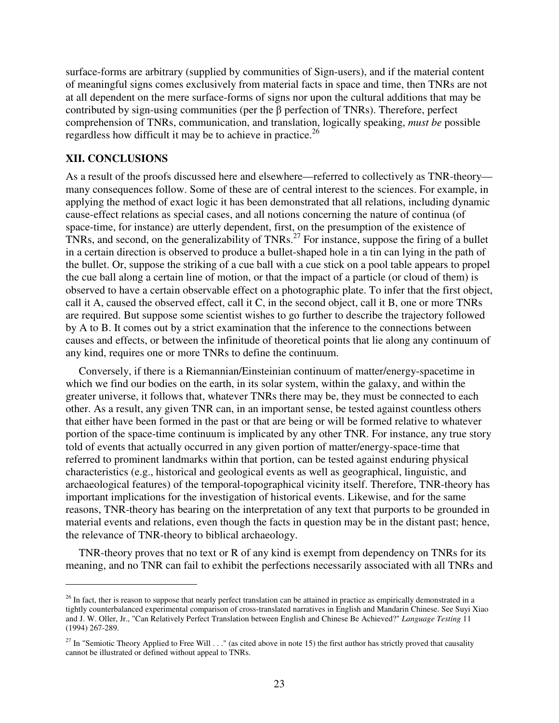surface-forms are arbitrary (supplied by communities of Sign-users), and if the material content of meaningful signs comes exclusively from material facts in space and time, then TNRs are not at all dependent on the mere surface-forms of signs nor upon the cultural additions that may be contributed by sign-using communities (per the β perfection of TNRs). Therefore, perfect comprehension of TNRs, communication, and translation, logically speaking, *must be* possible regardless how difficult it may be to achieve in practice.<sup>26</sup>

#### **XII. CONCLUSIONS**

 $\overline{a}$ 

As a result of the proofs discussed here and elsewhere—referred to collectively as TNR-theory many consequences follow. Some of these are of central interest to the sciences. For example, in applying the method of exact logic it has been demonstrated that all relations, including dynamic cause-effect relations as special cases, and all notions concerning the nature of continua (of space-time, for instance) are utterly dependent, first, on the presumption of the existence of TNRs, and second, on the generalizability of TNRs.<sup>27</sup> For instance, suppose the firing of a bullet in a certain direction is observed to produce a bullet-shaped hole in a tin can lying in the path of the bullet. Or, suppose the striking of a cue ball with a cue stick on a pool table appears to propel the cue ball along a certain line of motion, or that the impact of a particle (or cloud of them) is observed to have a certain observable effect on a photographic plate. To infer that the first object, call it A, caused the observed effect, call it C, in the second object, call it B, one or more TNRs are required. But suppose some scientist wishes to go further to describe the trajectory followed by A to B. It comes out by a strict examination that the inference to the connections between causes and effects, or between the infinitude of theoretical points that lie along any continuum of any kind, requires one or more TNRs to define the continuum.

Conversely, if there is a Riemannian/Einsteinian continuum of matter/energy-spacetime in which we find our bodies on the earth, in its solar system, within the galaxy, and within the greater universe, it follows that, whatever TNRs there may be, they must be connected to each other. As a result, any given TNR can, in an important sense, be tested against countless others that either have been formed in the past or that are being or will be formed relative to whatever portion of the space-time continuum is implicated by any other TNR. For instance, any true story told of events that actually occurred in any given portion of matter/energy-space-time that referred to prominent landmarks within that portion, can be tested against enduring physical characteristics (e.g., historical and geological events as well as geographical, linguistic, and archaeological features) of the temporal-topographical vicinity itself. Therefore, TNR-theory has important implications for the investigation of historical events. Likewise, and for the same reasons, TNR-theory has bearing on the interpretation of any text that purports to be grounded in material events and relations, even though the facts in question may be in the distant past; hence, the relevance of TNR-theory to biblical archaeology.

TNR-theory proves that no text or R of any kind is exempt from dependency on TNRs for its meaning, and no TNR can fail to exhibit the perfections necessarily associated with all TNRs and

 $^{26}$  In fact, ther is reason to suppose that nearly perfect translation can be attained in practice as empirically demonstrated in a tightly counterbalanced experimental comparison of cross-translated narratives in English and Mandarin Chinese. See Suyi Xiao and J. W. Oller, Jr., "Can Relatively Perfect Translation between English and Chinese Be Achieved?" *Language Testing* 11 (1994) 267-289.

<sup>&</sup>lt;sup>27</sup> In "Semiotic Theory Applied to Free Will . . ." (as cited above in note 15) the first author has strictly proved that causality cannot be illustrated or defined without appeal to TNRs.